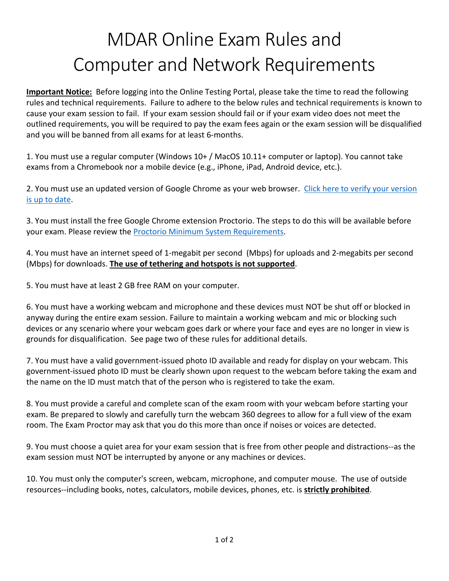## MDAR Online Exam Rules and Computer and Network Requirements

**Important Notice:** Before logging into the Online Testing Portal, please take the time to read the following rules and technical requirements. Failure to adhere to the below rules and technical requirements is known to cause your exam session to fail. If your exam session should fail or if your exam video does not meet the outlined requirements, you will be required to pay the exam fees again or the exam session will be disqualified and you will be banned from all exams for at least 6-months.

1. You must use a regular computer (Windows 10+ / MacOS 10.11+ computer or laptop). You cannot take exams from a Chromebook nor a mobile device (e.g., iPhone, iPad, Android device, etc.).

2. You must use an updated version of Google Chrome as your web browser. Click here to verify your version [is up to date.](https://support.google.com/chrome/answer/95414?co=GENIE.Platform%3DDesktop&hl=en)

3. You must install the free Google Chrome extension Proctorio. The steps to do this will be available before your exam. Please review the [Proctorio Minimum System Requirements.](https://proctorio.com/support#minReqs)

4. You must have an internet speed of 1-megabit per second (Mbps) for uploads and 2-megabits per second (Mbps) for downloads. **The use of tethering and hotspots is not supported**.

5. You must have at least 2 GB free RAM on your computer.

6. You must have a working webcam and microphone and these devices must NOT be shut off or blocked in anyway during the entire exam session. Failure to maintain a working webcam and mic or blocking such devices or any scenario where your webcam goes dark or where your face and eyes are no longer in view is grounds for disqualification. See page two of these rules for additional details.

7. You must have a valid government-issued photo ID available and ready for display on your webcam. This government-issued photo ID must be clearly shown upon request to the webcam before taking the exam and the name on the ID must match that of the person who is registered to take the exam.

8. You must provide a careful and complete scan of the exam room with your webcam before starting your exam. Be prepared to slowly and carefully turn the webcam 360 degrees to allow for a full view of the exam room. The Exam Proctor may ask that you do this more than once if noises or voices are detected.

9. You must choose a quiet area for your exam session that is free from other people and distractions--as the exam session must NOT be interrupted by anyone or any machines or devices.

10. You must only the computer's screen, webcam, microphone, and computer mouse. The use of outside resources--including books, notes, calculators, mobile devices, phones, etc. is **strictly prohibited**.